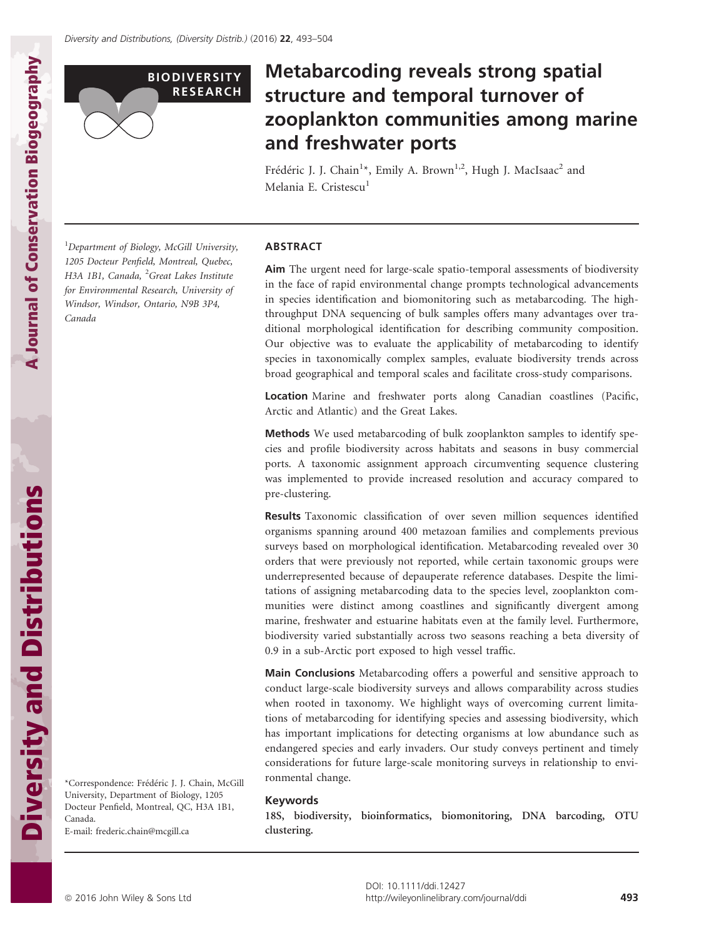

# Metabarcoding reveals strong spatial structure and temporal turnover of zooplankton communities among marine and freshwater ports

Frédéric J. J. Chain<sup>1</sup>\*, Emily A. Brown<sup>1,2</sup>, Hugh J. MacIsaac<sup>2</sup> and Melania E. Cristescu<sup>1</sup>

<sup>1</sup>Department of Biology, McGill University, 1205 Docteur Penfield, Montreal, Quebec, H3A 1B1, Canada, <sup>2</sup>Great Lakes Institute for Environmental Research, University of Windsor, Windsor, Ontario, N9B 3P4, Canada

#### ABSTRACT

Aim The urgent need for large-scale spatio-temporal assessments of biodiversity in the face of rapid environmental change prompts technological advancements in species identification and biomonitoring such as metabarcoding. The highthroughput DNA sequencing of bulk samples offers many advantages over traditional morphological identification for describing community composition. Our objective was to evaluate the applicability of metabarcoding to identify species in taxonomically complex samples, evaluate biodiversity trends across broad geographical and temporal scales and facilitate cross-study comparisons.

Location Marine and freshwater ports along Canadian coastlines (Pacific, Arctic and Atlantic) and the Great Lakes.

Methods We used metabarcoding of bulk zooplankton samples to identify species and profile biodiversity across habitats and seasons in busy commercial ports. A taxonomic assignment approach circumventing sequence clustering was implemented to provide increased resolution and accuracy compared to pre-clustering.

Results Taxonomic classification of over seven million sequences identified organisms spanning around 400 metazoan families and complements previous surveys based on morphological identification. Metabarcoding revealed over 30 orders that were previously not reported, while certain taxonomic groups were underrepresented because of depauperate reference databases. Despite the limitations of assigning metabarcoding data to the species level, zooplankton communities were distinct among coastlines and significantly divergent among marine, freshwater and estuarine habitats even at the family level. Furthermore, biodiversity varied substantially across two seasons reaching a beta diversity of 0.9 in a sub-Arctic port exposed to high vessel traffic.

Main Conclusions Metabarcoding offers a powerful and sensitive approach to conduct large-scale biodiversity surveys and allows comparability across studies when rooted in taxonomy. We highlight ways of overcoming current limitations of metabarcoding for identifying species and assessing biodiversity, which has important implications for detecting organisms at low abundance such as endangered species and early invaders. Our study conveys pertinent and timely considerations for future large-scale monitoring surveys in relationship to environmental change.

#### Keywords

18S, biodiversity, bioinformatics, biomonitoring, DNA barcoding, OTU clustering.

A Journal of Conservation Biogeography

A Journal of Conservation Biogeography

Docteur Penfield, Montreal, QC, H3A 1B1, Canada. E-mail: frederic.chain@mcgill.ca

\*Correspondence: Frederic J. J. Chain, McGill University, Department of Biology, 1205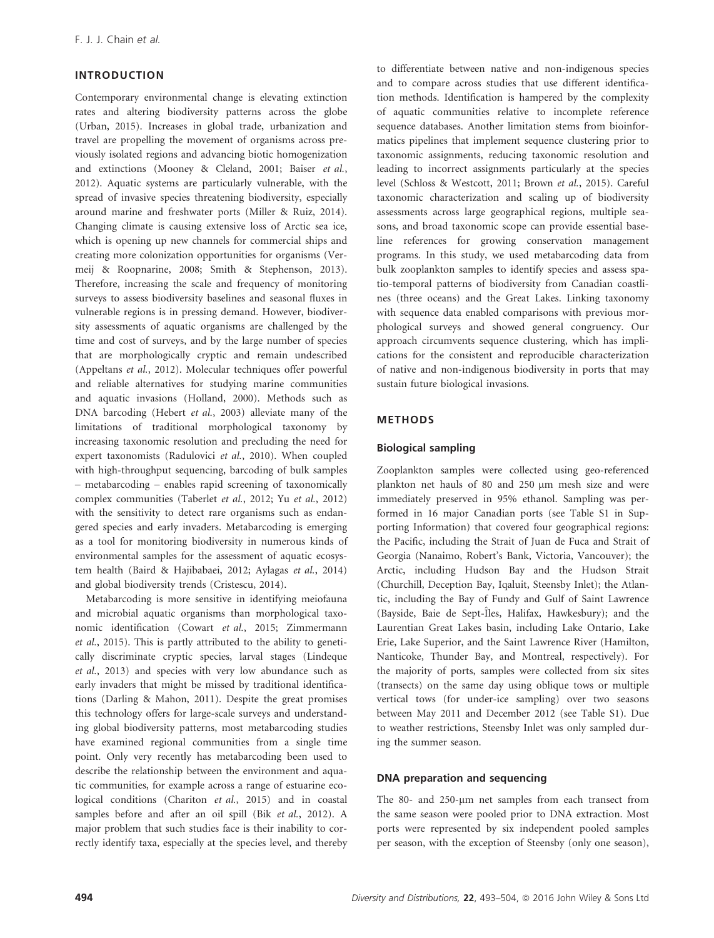# INTRODUCTION

Contemporary environmental change is elevating extinction rates and altering biodiversity patterns across the globe (Urban, 2015). Increases in global trade, urbanization and travel are propelling the movement of organisms across previously isolated regions and advancing biotic homogenization and extinctions (Mooney & Cleland, 2001; Baiser et al., 2012). Aquatic systems are particularly vulnerable, with the spread of invasive species threatening biodiversity, especially around marine and freshwater ports (Miller & Ruiz, 2014). Changing climate is causing extensive loss of Arctic sea ice, which is opening up new channels for commercial ships and creating more colonization opportunities for organisms (Vermeij & Roopnarine, 2008; Smith & Stephenson, 2013). Therefore, increasing the scale and frequency of monitoring surveys to assess biodiversity baselines and seasonal fluxes in vulnerable regions is in pressing demand. However, biodiversity assessments of aquatic organisms are challenged by the time and cost of surveys, and by the large number of species that are morphologically cryptic and remain undescribed (Appeltans et al., 2012). Molecular techniques offer powerful and reliable alternatives for studying marine communities and aquatic invasions (Holland, 2000). Methods such as DNA barcoding (Hebert et al., 2003) alleviate many of the limitations of traditional morphological taxonomy by increasing taxonomic resolution and precluding the need for expert taxonomists (Radulovici et al., 2010). When coupled with high-throughput sequencing, barcoding of bulk samples – metabarcoding – enables rapid screening of taxonomically complex communities (Taberlet et al., 2012; Yu et al., 2012) with the sensitivity to detect rare organisms such as endangered species and early invaders. Metabarcoding is emerging as a tool for monitoring biodiversity in numerous kinds of environmental samples for the assessment of aquatic ecosystem health (Baird & Hajibabaei, 2012; Aylagas et al., 2014) and global biodiversity trends (Cristescu, 2014).

Metabarcoding is more sensitive in identifying meiofauna and microbial aquatic organisms than morphological taxonomic identification (Cowart et al., 2015; Zimmermann et al., 2015). This is partly attributed to the ability to genetically discriminate cryptic species, larval stages (Lindeque et al., 2013) and species with very low abundance such as early invaders that might be missed by traditional identifications (Darling & Mahon, 2011). Despite the great promises this technology offers for large-scale surveys and understanding global biodiversity patterns, most metabarcoding studies have examined regional communities from a single time point. Only very recently has metabarcoding been used to describe the relationship between the environment and aquatic communities, for example across a range of estuarine ecological conditions (Chariton et al., 2015) and in coastal samples before and after an oil spill (Bik et al., 2012). A major problem that such studies face is their inability to correctly identify taxa, especially at the species level, and thereby to differentiate between native and non-indigenous species and to compare across studies that use different identification methods. Identification is hampered by the complexity of aquatic communities relative to incomplete reference sequence databases. Another limitation stems from bioinformatics pipelines that implement sequence clustering prior to taxonomic assignments, reducing taxonomic resolution and leading to incorrect assignments particularly at the species level (Schloss & Westcott, 2011; Brown et al., 2015). Careful taxonomic characterization and scaling up of biodiversity assessments across large geographical regions, multiple seasons, and broad taxonomic scope can provide essential baseline references for growing conservation management programs. In this study, we used metabarcoding data from bulk zooplankton samples to identify species and assess spatio-temporal patterns of biodiversity from Canadian coastlines (three oceans) and the Great Lakes. Linking taxonomy with sequence data enabled comparisons with previous morphological surveys and showed general congruency. Our approach circumvents sequence clustering, which has implications for the consistent and reproducible characterization of native and non-indigenous biodiversity in ports that may sustain future biological invasions.

## METHODS

#### Biological sampling

Zooplankton samples were collected using geo-referenced plankton net hauls of 80 and 250 µm mesh size and were immediately preserved in 95% ethanol. Sampling was performed in 16 major Canadian ports (see Table S1 in Supporting Information) that covered four geographical regions: the Pacific, including the Strait of Juan de Fuca and Strait of Georgia (Nanaimo, Robert's Bank, Victoria, Vancouver); the Arctic, including Hudson Bay and the Hudson Strait (Churchill, Deception Bay, Iqaluit, Steensby Inlet); the Atlantic, including the Bay of Fundy and Gulf of Saint Lawrence (Bayside, Baie de Sept-Îles, Halifax, Hawkesbury); and the Laurentian Great Lakes basin, including Lake Ontario, Lake Erie, Lake Superior, and the Saint Lawrence River (Hamilton, Nanticoke, Thunder Bay, and Montreal, respectively). For the majority of ports, samples were collected from six sites (transects) on the same day using oblique tows or multiple vertical tows (for under-ice sampling) over two seasons between May 2011 and December 2012 (see Table S1). Due to weather restrictions, Steensby Inlet was only sampled during the summer season.

#### DNA preparation and sequencing

The 80- and 250-µm net samples from each transect from the same season were pooled prior to DNA extraction. Most ports were represented by six independent pooled samples per season, with the exception of Steensby (only one season),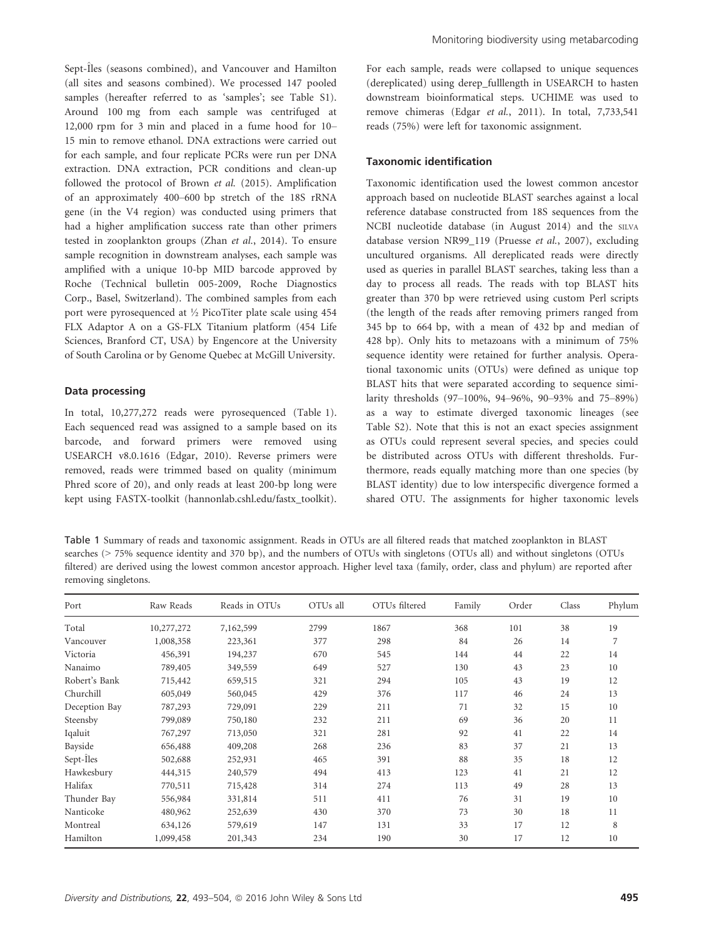Sept-Îles (seasons combined), and Vancouver and Hamilton (all sites and seasons combined). We processed 147 pooled samples (hereafter referred to as 'samples'; see Table S1). Around 100 mg from each sample was centrifuged at 12,000 rpm for 3 min and placed in a fume hood for 10– 15 min to remove ethanol. DNA extractions were carried out for each sample, and four replicate PCRs were run per DNA extraction. DNA extraction, PCR conditions and clean-up followed the protocol of Brown et al. (2015). Amplification of an approximately 400–600 bp stretch of the 18S rRNA gene (in the V4 region) was conducted using primers that had a higher amplification success rate than other primers tested in zooplankton groups (Zhan et al., 2014). To ensure sample recognition in downstream analyses, each sample was amplified with a unique 10-bp MID barcode approved by Roche (Technical bulletin 005-2009, Roche Diagnostics Corp., Basel, Switzerland). The combined samples from each port were pyrosequenced at ½ PicoTiter plate scale using 454 FLX Adaptor A on a GS-FLX Titanium platform (454 Life Sciences, Branford CT, USA) by Engencore at the University of South Carolina or by Genome Quebec at McGill University.

## Data processing

In total, 10,277,272 reads were pyrosequenced (Table 1). Each sequenced read was assigned to a sample based on its barcode, and forward primers were removed using USEARCH v8.0.1616 (Edgar, 2010). Reverse primers were removed, reads were trimmed based on quality (minimum Phred score of 20), and only reads at least 200-bp long were kept using FASTX-toolkit (hannonlab.cshl.edu/fastx\_toolkit).

For each sample, reads were collapsed to unique sequences (dereplicated) using derep\_fulllength in USEARCH to hasten downstream bioinformatical steps. UCHIME was used to remove chimeras (Edgar et al., 2011). In total, 7,733,541 reads (75%) were left for taxonomic assignment.

#### Taxonomic identification

Taxonomic identification used the lowest common ancestor approach based on nucleotide BLAST searches against a local reference database constructed from 18S sequences from the NCBI nucleotide database (in August 2014) and the SILVA database version NR99\_119 (Pruesse et al., 2007), excluding uncultured organisms. All dereplicated reads were directly used as queries in parallel BLAST searches, taking less than a day to process all reads. The reads with top BLAST hits greater than 370 bp were retrieved using custom Perl scripts (the length of the reads after removing primers ranged from 345 bp to 664 bp, with a mean of 432 bp and median of 428 bp). Only hits to metazoans with a minimum of 75% sequence identity were retained for further analysis. Operational taxonomic units (OTUs) were defined as unique top BLAST hits that were separated according to sequence similarity thresholds (97–100%, 94–96%, 90–93% and 75–89%) as a way to estimate diverged taxonomic lineages (see Table S2). Note that this is not an exact species assignment as OTUs could represent several species, and species could be distributed across OTUs with different thresholds. Furthermore, reads equally matching more than one species (by BLAST identity) due to low interspecific divergence formed a shared OTU. The assignments for higher taxonomic levels

Table 1 Summary of reads and taxonomic assignment. Reads in OTUs are all filtered reads that matched zooplankton in BLAST searches (> 75% sequence identity and 370 bp), and the numbers of OTUs with singletons (OTUs all) and without singletons (OTUs filtered) are derived using the lowest common ancestor approach. Higher level taxa (family, order, class and phylum) are reported after removing singletons.

| Port          | Raw Reads  | Reads in OTUs | OTUs all | OTUs filtered | Family | Order | Class | Phylum |
|---------------|------------|---------------|----------|---------------|--------|-------|-------|--------|
| Total         | 10,277,272 | 7,162,599     | 2799     | 1867          | 368    | 101   | 38    | 19     |
| Vancouver     | 1,008,358  | 223,361       | 377      | 298           | 84     | 26    | 14    | 7      |
| Victoria      | 456,391    | 194,237       | 670      | 545           | 144    | 44    | 22    | 14     |
| Nanaimo       | 789,405    | 349,559       | 649      | 527           | 130    | 43    | 23    | 10     |
| Robert's Bank | 715,442    | 659,515       | 321      | 294           | 105    | 43    | 19    | 12     |
| Churchill     | 605,049    | 560,045       | 429      | 376           | 117    | 46    | 24    | 13     |
| Deception Bay | 787,293    | 729,091       | 229      | 211           | 71     | 32    | 15    | 10     |
| Steensby      | 799,089    | 750,180       | 232      | 211           | 69     | 36    | 20    | 11     |
| Iqaluit       | 767,297    | 713,050       | 321      | 281           | 92     | 41    | 22    | 14     |
| Bayside       | 656,488    | 409,208       | 268      | 236           | 83     | 37    | 21    | 13     |
| Sept-Iles     | 502,688    | 252,931       | 465      | 391           | 88     | 35    | 18    | 12     |
| Hawkesbury    | 444,315    | 240,579       | 494      | 413           | 123    | 41    | 21    | 12     |
| Halifax       | 770,511    | 715,428       | 314      | 274           | 113    | 49    | 28    | 13     |
| Thunder Bay   | 556,984    | 331,814       | 511      | 411           | 76     | 31    | 19    | 10     |
| Nanticoke     | 480,962    | 252,639       | 430      | 370           | 73     | 30    | 18    | 11     |
| Montreal      | 634,126    | 579,619       | 147      | 131           | 33     | 17    | 12    | 8      |
| Hamilton      | 1,099,458  | 201,343       | 234      | 190           | 30     | 17    | 12    | 10     |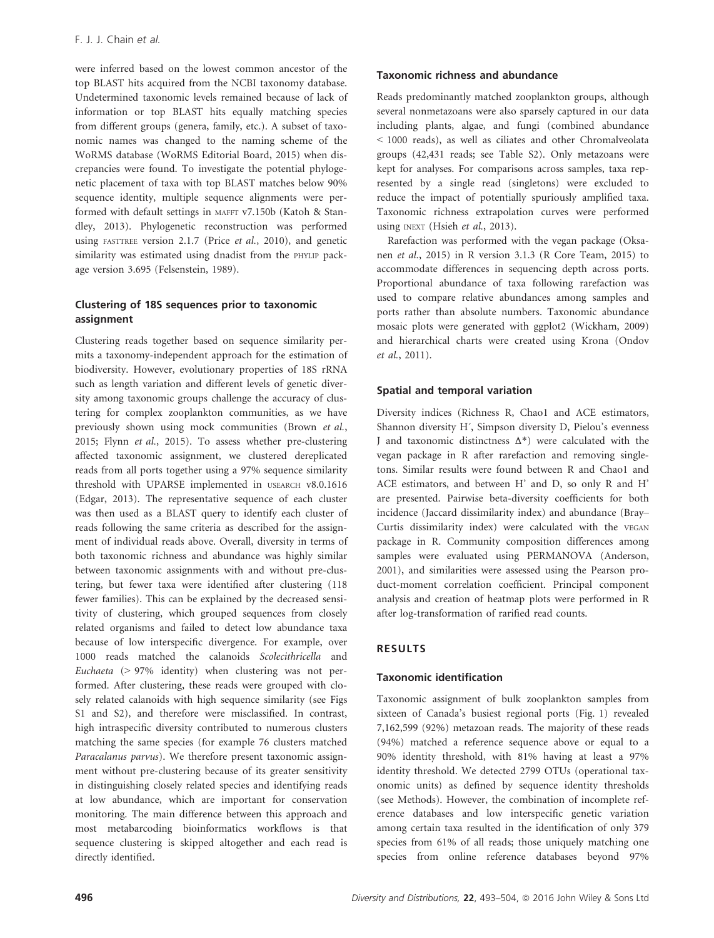were inferred based on the lowest common ancestor of the top BLAST hits acquired from the NCBI taxonomy database. Undetermined taxonomic levels remained because of lack of information or top BLAST hits equally matching species from different groups (genera, family, etc.). A subset of taxonomic names was changed to the naming scheme of the WoRMS database (WoRMS Editorial Board, 2015) when discrepancies were found. To investigate the potential phylogenetic placement of taxa with top BLAST matches below 90% sequence identity, multiple sequence alignments were performed with default settings in MAFFT v7.150b (Katoh & Standley, 2013). Phylogenetic reconstruction was performed using FASTTREE version 2.1.7 (Price et al., 2010), and genetic similarity was estimated using dnadist from the PHYLIP package version 3.695 (Felsenstein, 1989).

# Clustering of 18S sequences prior to taxonomic assignment

Clustering reads together based on sequence similarity permits a taxonomy-independent approach for the estimation of biodiversity. However, evolutionary properties of 18S rRNA such as length variation and different levels of genetic diversity among taxonomic groups challenge the accuracy of clustering for complex zooplankton communities, as we have previously shown using mock communities (Brown et al., 2015; Flynn et al., 2015). To assess whether pre-clustering affected taxonomic assignment, we clustered dereplicated reads from all ports together using a 97% sequence similarity threshold with UPARSE implemented in USEARCH v8.0.1616 (Edgar, 2013). The representative sequence of each cluster was then used as a BLAST query to identify each cluster of reads following the same criteria as described for the assignment of individual reads above. Overall, diversity in terms of both taxonomic richness and abundance was highly similar between taxonomic assignments with and without pre-clustering, but fewer taxa were identified after clustering (118 fewer families). This can be explained by the decreased sensitivity of clustering, which grouped sequences from closely related organisms and failed to detect low abundance taxa because of low interspecific divergence. For example, over 1000 reads matched the calanoids Scolecithricella and Euchaeta (> 97% identity) when clustering was not performed. After clustering, these reads were grouped with closely related calanoids with high sequence similarity (see Figs S1 and S2), and therefore were misclassified. In contrast, high intraspecific diversity contributed to numerous clusters matching the same species (for example 76 clusters matched Paracalanus parvus). We therefore present taxonomic assignment without pre-clustering because of its greater sensitivity in distinguishing closely related species and identifying reads at low abundance, which are important for conservation monitoring. The main difference between this approach and most metabarcoding bioinformatics workflows is that sequence clustering is skipped altogether and each read is directly identified.

## Taxonomic richness and abundance

Reads predominantly matched zooplankton groups, although several nonmetazoans were also sparsely captured in our data including plants, algae, and fungi (combined abundance < 1000 reads), as well as ciliates and other Chromalveolata groups (42,431 reads; see Table S2). Only metazoans were kept for analyses. For comparisons across samples, taxa represented by a single read (singletons) were excluded to reduce the impact of potentially spuriously amplified taxa. Taxonomic richness extrapolation curves were performed using INEXT (Hsieh et al., 2013).

Rarefaction was performed with the vegan package (Oksanen et al., 2015) in R version 3.1.3 (R Core Team, 2015) to accommodate differences in sequencing depth across ports. Proportional abundance of taxa following rarefaction was used to compare relative abundances among samples and ports rather than absolute numbers. Taxonomic abundance mosaic plots were generated with ggplot2 (Wickham, 2009) and hierarchical charts were created using Krona (Ondov et al., 2011).

## Spatial and temporal variation

Diversity indices (Richness R, Chao1 and ACE estimators, Shannon diversity H´, Simpson diversity D, Pielou's evenness J and taxonomic distinctness Δ\*) were calculated with the vegan package in R after rarefaction and removing singletons. Similar results were found between R and Chao1 and ACE estimators, and between H' and D, so only R and H' are presented. Pairwise beta-diversity coefficients for both incidence (Jaccard dissimilarity index) and abundance (Bray– Curtis dissimilarity index) were calculated with the VEGAN package in R. Community composition differences among samples were evaluated using PERMANOVA (Anderson, 2001), and similarities were assessed using the Pearson product-moment correlation coefficient. Principal component analysis and creation of heatmap plots were performed in R after log-transformation of rarified read counts.

#### RESULTS

#### Taxonomic identification

Taxonomic assignment of bulk zooplankton samples from sixteen of Canada's busiest regional ports (Fig. 1) revealed 7,162,599 (92%) metazoan reads. The majority of these reads (94%) matched a reference sequence above or equal to a 90% identity threshold, with 81% having at least a 97% identity threshold. We detected 2799 OTUs (operational taxonomic units) as defined by sequence identity thresholds (see Methods). However, the combination of incomplete reference databases and low interspecific genetic variation among certain taxa resulted in the identification of only 379 species from 61% of all reads; those uniquely matching one species from online reference databases beyond 97%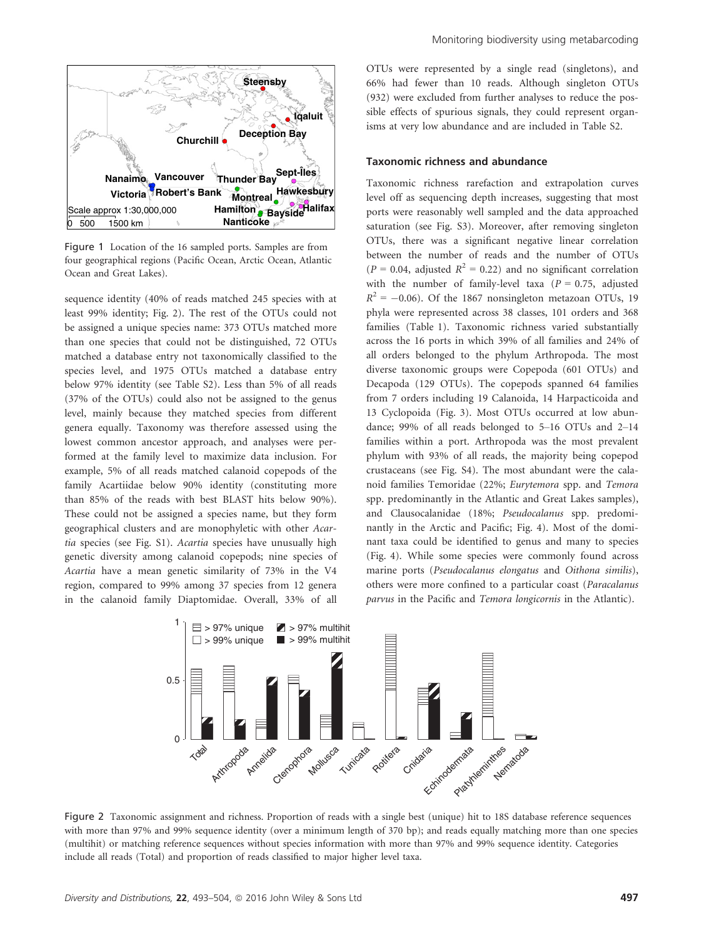

Figure 1 Location of the 16 sampled ports. Samples are from four geographical regions (Pacific Ocean, Arctic Ocean, Atlantic Ocean and Great Lakes).

sequence identity (40% of reads matched 245 species with at least 99% identity; Fig. 2). The rest of the OTUs could not be assigned a unique species name: 373 OTUs matched more than one species that could not be distinguished, 72 OTUs matched a database entry not taxonomically classified to the species level, and 1975 OTUs matched a database entry below 97% identity (see Table S2). Less than 5% of all reads (37% of the OTUs) could also not be assigned to the genus level, mainly because they matched species from different genera equally. Taxonomy was therefore assessed using the lowest common ancestor approach, and analyses were performed at the family level to maximize data inclusion. For example, 5% of all reads matched calanoid copepods of the family Acartiidae below 90% identity (constituting more than 85% of the reads with best BLAST hits below 90%). These could not be assigned a species name, but they form geographical clusters and are monophyletic with other Acartia species (see Fig. S1). Acartia species have unusually high genetic diversity among calanoid copepods; nine species of Acartia have a mean genetic similarity of 73% in the V4 region, compared to 99% among 37 species from 12 genera in the calanoid family Diaptomidae. Overall, 33% of all OTUs were represented by a single read (singletons), and 66% had fewer than 10 reads. Although singleton OTUs (932) were excluded from further analyses to reduce the possible effects of spurious signals, they could represent organisms at very low abundance and are included in Table S2.

#### Taxonomic richness and abundance

Taxonomic richness rarefaction and extrapolation curves level off as sequencing depth increases, suggesting that most ports were reasonably well sampled and the data approached saturation (see Fig. S3). Moreover, after removing singleton OTUs, there was a significant negative linear correlation between the number of reads and the number of OTUs  $(P = 0.04$ , adjusted  $R^2 = 0.22$ ) and no significant correlation with the number of family-level taxa ( $P = 0.75$ , adjusted  $R^2 = -0.06$ ). Of the 1867 nonsingleton metazoan OTUs, 19 phyla were represented across 38 classes, 101 orders and 368 families (Table 1). Taxonomic richness varied substantially across the 16 ports in which 39% of all families and 24% of all orders belonged to the phylum Arthropoda. The most diverse taxonomic groups were Copepoda (601 OTUs) and Decapoda (129 OTUs). The copepods spanned 64 families from 7 orders including 19 Calanoida, 14 Harpacticoida and 13 Cyclopoida (Fig. 3). Most OTUs occurred at low abundance; 99% of all reads belonged to 5–16 OTUs and 2–14 families within a port. Arthropoda was the most prevalent phylum with 93% of all reads, the majority being copepod crustaceans (see Fig. S4). The most abundant were the calanoid families Temoridae (22%; Eurytemora spp. and Temora spp. predominantly in the Atlantic and Great Lakes samples), and Clausocalanidae (18%; Pseudocalanus spp. predominantly in the Arctic and Pacific; Fig. 4). Most of the dominant taxa could be identified to genus and many to species (Fig. 4). While some species were commonly found across marine ports (Pseudocalanus elongatus and Oithona similis), others were more confined to a particular coast (Paracalanus parvus in the Pacific and Temora longicornis in the Atlantic).



Figure 2 Taxonomic assignment and richness. Proportion of reads with a single best (unique) hit to 18S database reference sequences with more than 97% and 99% sequence identity (over a minimum length of 370 bp); and reads equally matching more than one species (multihit) or matching reference sequences without species information with more than 97% and 99% sequence identity. Categories include all reads (Total) and proportion of reads classified to major higher level taxa.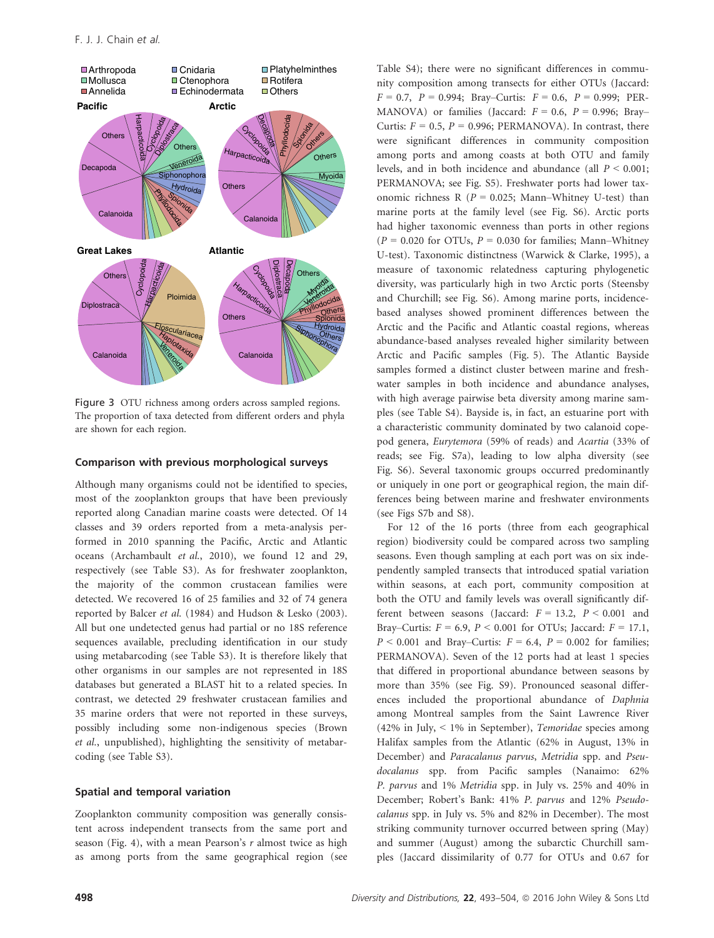

Figure 3 OTU richness among orders across sampled regions. The proportion of taxa detected from different orders and phyla are shown for each region.

#### Comparison with previous morphological surveys

Although many organisms could not be identified to species, most of the zooplankton groups that have been previously reported along Canadian marine coasts were detected. Of 14 classes and 39 orders reported from a meta-analysis performed in 2010 spanning the Pacific, Arctic and Atlantic oceans (Archambault et al., 2010), we found 12 and 29, respectively (see Table S3). As for freshwater zooplankton, the majority of the common crustacean families were detected. We recovered 16 of 25 families and 32 of 74 genera reported by Balcer et al. (1984) and Hudson & Lesko (2003). All but one undetected genus had partial or no 18S reference sequences available, precluding identification in our study using metabarcoding (see Table S3). It is therefore likely that other organisms in our samples are not represented in 18S databases but generated a BLAST hit to a related species. In contrast, we detected 29 freshwater crustacean families and 35 marine orders that were not reported in these surveys, possibly including some non-indigenous species (Brown et al., unpublished), highlighting the sensitivity of metabarcoding (see Table S3).

#### Spatial and temporal variation

Zooplankton community composition was generally consistent across independent transects from the same port and season (Fig. 4), with a mean Pearson's  $r$  almost twice as high as among ports from the same geographical region (see Table S4); there were no significant differences in community composition among transects for either OTUs (Jaccard:  $F = 0.7$ ,  $P = 0.994$ ; Bray–Curtis:  $F = 0.6$ ,  $P = 0.999$ ; PER-MANOVA) or families (Jaccard:  $F = 0.6$ ,  $P = 0.996$ ; Bray– Curtis:  $F = 0.5$ ,  $P = 0.996$ ; PERMANOVA). In contrast, there were significant differences in community composition among ports and among coasts at both OTU and family levels, and in both incidence and abundance (all  $P < 0.001$ ; PERMANOVA; see Fig. S5). Freshwater ports had lower taxonomic richness R ( $P = 0.025$ ; Mann–Whitney U-test) than marine ports at the family level (see Fig. S6). Arctic ports had higher taxonomic evenness than ports in other regions  $(P = 0.020$  for OTUs,  $P = 0.030$  for families; Mann–Whitney U-test). Taxonomic distinctness (Warwick & Clarke, 1995), a measure of taxonomic relatedness capturing phylogenetic diversity, was particularly high in two Arctic ports (Steensby and Churchill; see Fig. S6). Among marine ports, incidencebased analyses showed prominent differences between the Arctic and the Pacific and Atlantic coastal regions, whereas abundance-based analyses revealed higher similarity between Arctic and Pacific samples (Fig. 5). The Atlantic Bayside samples formed a distinct cluster between marine and freshwater samples in both incidence and abundance analyses, with high average pairwise beta diversity among marine samples (see Table S4). Bayside is, in fact, an estuarine port with a characteristic community dominated by two calanoid copepod genera, Eurytemora (59% of reads) and Acartia (33% of reads; see Fig. S7a), leading to low alpha diversity (see Fig. S6). Several taxonomic groups occurred predominantly or uniquely in one port or geographical region, the main differences being between marine and freshwater environments (see Figs S7b and S8).

For 12 of the 16 ports (three from each geographical region) biodiversity could be compared across two sampling seasons. Even though sampling at each port was on six independently sampled transects that introduced spatial variation within seasons, at each port, community composition at both the OTU and family levels was overall significantly different between seasons (Jaccard:  $F = 13.2$ ,  $P < 0.001$  and Bray–Curtis:  $F = 6.9$ ,  $P < 0.001$  for OTUs; Jaccard:  $F = 17.1$ ,  $P < 0.001$  and Bray–Curtis:  $F = 6.4$ ,  $P = 0.002$  for families; PERMANOVA). Seven of the 12 ports had at least 1 species that differed in proportional abundance between seasons by more than 35% (see Fig. S9). Pronounced seasonal differences included the proportional abundance of Daphnia among Montreal samples from the Saint Lawrence River (42% in July, < 1% in September), Temoridae species among Halifax samples from the Atlantic (62% in August, 13% in December) and Paracalanus parvus, Metridia spp. and Pseudocalanus spp. from Pacific samples (Nanaimo: 62% P. parvus and 1% Metridia spp. in July vs. 25% and 40% in December; Robert's Bank: 41% P. parvus and 12% Pseudocalanus spp. in July vs. 5% and 82% in December). The most striking community turnover occurred between spring (May) and summer (August) among the subarctic Churchill samples (Jaccard dissimilarity of 0.77 for OTUs and 0.67 for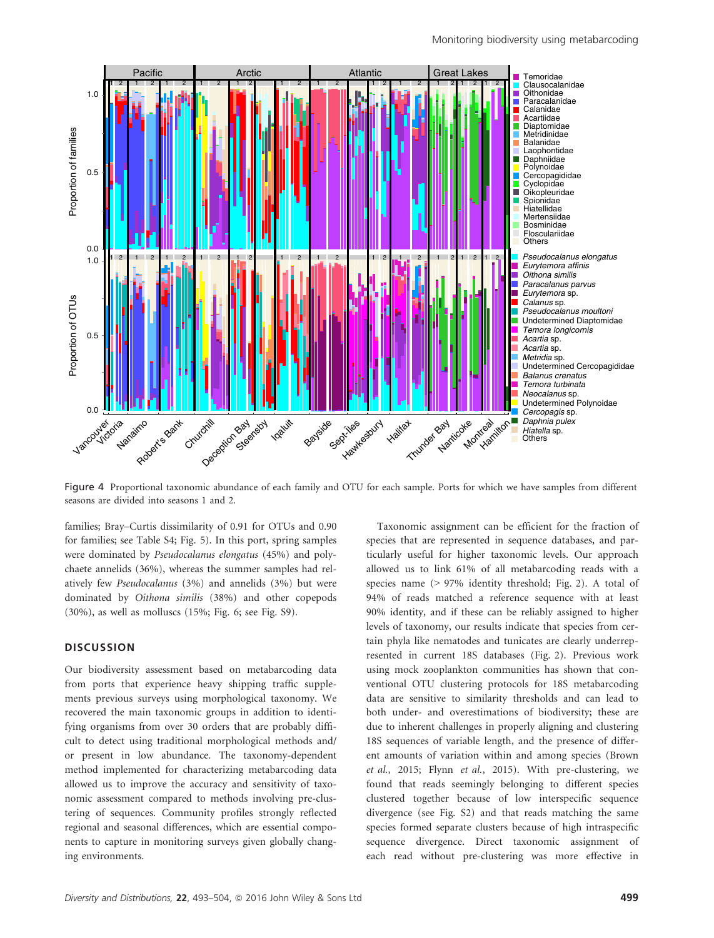

Figure 4 Proportional taxonomic abundance of each family and OTU for each sample. Ports for which we have samples from different seasons are divided into seasons 1 and 2.

families; Bray–Curtis dissimilarity of 0.91 for OTUs and 0.90 for families; see Table S4; Fig. 5). In this port, spring samples were dominated by Pseudocalanus elongatus (45%) and polychaete annelids (36%), whereas the summer samples had relatively few Pseudocalanus (3%) and annelids (3%) but were dominated by Oithona similis (38%) and other copepods (30%), as well as molluscs (15%; Fig. 6; see Fig. S9).

## **DISCUSSION**

Our biodiversity assessment based on metabarcoding data from ports that experience heavy shipping traffic supplements previous surveys using morphological taxonomy. We recovered the main taxonomic groups in addition to identifying organisms from over 30 orders that are probably difficult to detect using traditional morphological methods and/ or present in low abundance. The taxonomy-dependent method implemented for characterizing metabarcoding data allowed us to improve the accuracy and sensitivity of taxonomic assessment compared to methods involving pre-clustering of sequences. Community profiles strongly reflected regional and seasonal differences, which are essential components to capture in monitoring surveys given globally changing environments.

Taxonomic assignment can be efficient for the fraction of species that are represented in sequence databases, and particularly useful for higher taxonomic levels. Our approach allowed us to link 61% of all metabarcoding reads with a species name (> 97% identity threshold; Fig. 2). A total of 94% of reads matched a reference sequence with at least 90% identity, and if these can be reliably assigned to higher levels of taxonomy, our results indicate that species from certain phyla like nematodes and tunicates are clearly underrepresented in current 18S databases (Fig. 2). Previous work using mock zooplankton communities has shown that conventional OTU clustering protocols for 18S metabarcoding data are sensitive to similarity thresholds and can lead to both under- and overestimations of biodiversity; these are due to inherent challenges in properly aligning and clustering 18S sequences of variable length, and the presence of different amounts of variation within and among species (Brown et al., 2015; Flynn et al., 2015). With pre-clustering, we found that reads seemingly belonging to different species clustered together because of low interspecific sequence divergence (see Fig. S2) and that reads matching the same species formed separate clusters because of high intraspecific sequence divergence. Direct taxonomic assignment of each read without pre-clustering was more effective in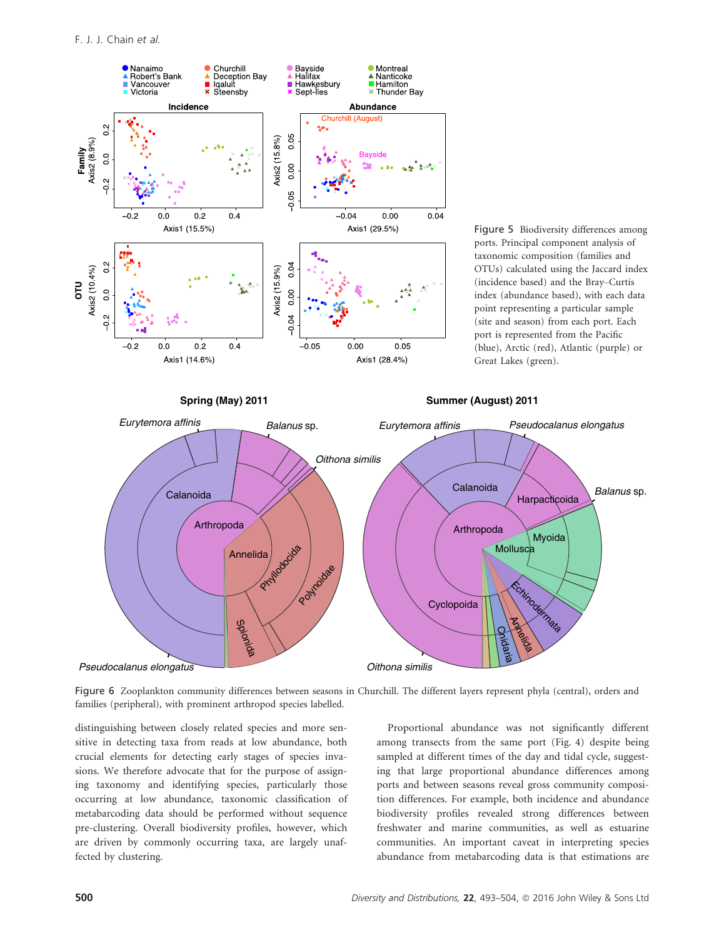

Figure 6 Zooplankton community differences between seasons in Churchill. The different layers represent phyla (central), orders and families (peripheral), with prominent arthropod species labelled.

*Oithona similis*

distinguishing between closely related species and more sensitive in detecting taxa from reads at low abundance, both crucial elements for detecting early stages of species invasions. We therefore advocate that for the purpose of assigning taxonomy and identifying species, particularly those occurring at low abundance, taxonomic classification of metabarcoding data should be performed without sequence pre-clustering. Overall biodiversity profiles, however, which are driven by commonly occurring taxa, are largely unaffected by clustering.

Proportional abundance was not significantly different among transects from the same port (Fig. 4) despite being sampled at different times of the day and tidal cycle, suggesting that large proportional abundance differences among ports and between seasons reveal gross community composition differences. For example, both incidence and abundance biodiversity profiles revealed strong differences between freshwater and marine communities, as well as estuarine communities. An important caveat in interpreting species abundance from metabarcoding data is that estimations are

*Balanus* sp.

*Pseudocalanus elongatus*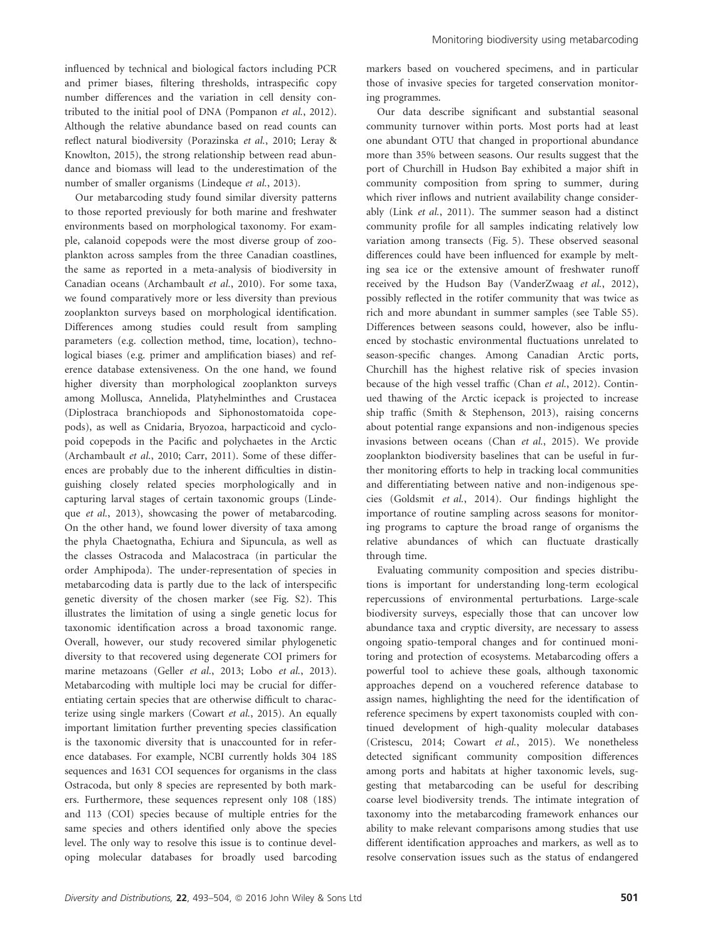influenced by technical and biological factors including PCR and primer biases, filtering thresholds, intraspecific copy number differences and the variation in cell density contributed to the initial pool of DNA (Pompanon et al., 2012). Although the relative abundance based on read counts can reflect natural biodiversity (Porazinska et al., 2010; Leray & Knowlton, 2015), the strong relationship between read abundance and biomass will lead to the underestimation of the number of smaller organisms (Lindeque et al., 2013).

Our metabarcoding study found similar diversity patterns to those reported previously for both marine and freshwater environments based on morphological taxonomy. For example, calanoid copepods were the most diverse group of zooplankton across samples from the three Canadian coastlines, the same as reported in a meta-analysis of biodiversity in Canadian oceans (Archambault et al., 2010). For some taxa, we found comparatively more or less diversity than previous zooplankton surveys based on morphological identification. Differences among studies could result from sampling parameters (e.g. collection method, time, location), technological biases (e.g. primer and amplification biases) and reference database extensiveness. On the one hand, we found higher diversity than morphological zooplankton surveys among Mollusca, Annelida, Platyhelminthes and Crustacea (Diplostraca branchiopods and Siphonostomatoida copepods), as well as Cnidaria, Bryozoa, harpacticoid and cyclopoid copepods in the Pacific and polychaetes in the Arctic (Archambault et al., 2010; Carr, 2011). Some of these differences are probably due to the inherent difficulties in distinguishing closely related species morphologically and in capturing larval stages of certain taxonomic groups (Lindeque et al., 2013), showcasing the power of metabarcoding. On the other hand, we found lower diversity of taxa among the phyla Chaetognatha, Echiura and Sipuncula, as well as the classes Ostracoda and Malacostraca (in particular the order Amphipoda). The under-representation of species in metabarcoding data is partly due to the lack of interspecific genetic diversity of the chosen marker (see Fig. S2). This illustrates the limitation of using a single genetic locus for taxonomic identification across a broad taxonomic range. Overall, however, our study recovered similar phylogenetic diversity to that recovered using degenerate COI primers for marine metazoans (Geller et al., 2013; Lobo et al., 2013). Metabarcoding with multiple loci may be crucial for differentiating certain species that are otherwise difficult to characterize using single markers (Cowart et al., 2015). An equally important limitation further preventing species classification is the taxonomic diversity that is unaccounted for in reference databases. For example, NCBI currently holds 304 18S sequences and 1631 COI sequences for organisms in the class Ostracoda, but only 8 species are represented by both markers. Furthermore, these sequences represent only 108 (18S) and 113 (COI) species because of multiple entries for the same species and others identified only above the species level. The only way to resolve this issue is to continue developing molecular databases for broadly used barcoding markers based on vouchered specimens, and in particular those of invasive species for targeted conservation monitoring programmes.

Our data describe significant and substantial seasonal community turnover within ports. Most ports had at least one abundant OTU that changed in proportional abundance more than 35% between seasons. Our results suggest that the port of Churchill in Hudson Bay exhibited a major shift in community composition from spring to summer, during which river inflows and nutrient availability change considerably (Link et al., 2011). The summer season had a distinct community profile for all samples indicating relatively low variation among transects (Fig. 5). These observed seasonal differences could have been influenced for example by melting sea ice or the extensive amount of freshwater runoff received by the Hudson Bay (VanderZwaag et al., 2012), possibly reflected in the rotifer community that was twice as rich and more abundant in summer samples (see Table S5). Differences between seasons could, however, also be influenced by stochastic environmental fluctuations unrelated to season-specific changes. Among Canadian Arctic ports, Churchill has the highest relative risk of species invasion because of the high vessel traffic (Chan et al., 2012). Continued thawing of the Arctic icepack is projected to increase ship traffic (Smith & Stephenson, 2013), raising concerns about potential range expansions and non-indigenous species invasions between oceans (Chan et al., 2015). We provide zooplankton biodiversity baselines that can be useful in further monitoring efforts to help in tracking local communities and differentiating between native and non-indigenous species (Goldsmit et al., 2014). Our findings highlight the importance of routine sampling across seasons for monitoring programs to capture the broad range of organisms the relative abundances of which can fluctuate drastically through time.

Evaluating community composition and species distributions is important for understanding long-term ecological repercussions of environmental perturbations. Large-scale biodiversity surveys, especially those that can uncover low abundance taxa and cryptic diversity, are necessary to assess ongoing spatio-temporal changes and for continued monitoring and protection of ecosystems. Metabarcoding offers a powerful tool to achieve these goals, although taxonomic approaches depend on a vouchered reference database to assign names, highlighting the need for the identification of reference specimens by expert taxonomists coupled with continued development of high-quality molecular databases (Cristescu, 2014; Cowart et al., 2015). We nonetheless detected significant community composition differences among ports and habitats at higher taxonomic levels, suggesting that metabarcoding can be useful for describing coarse level biodiversity trends. The intimate integration of taxonomy into the metabarcoding framework enhances our ability to make relevant comparisons among studies that use different identification approaches and markers, as well as to resolve conservation issues such as the status of endangered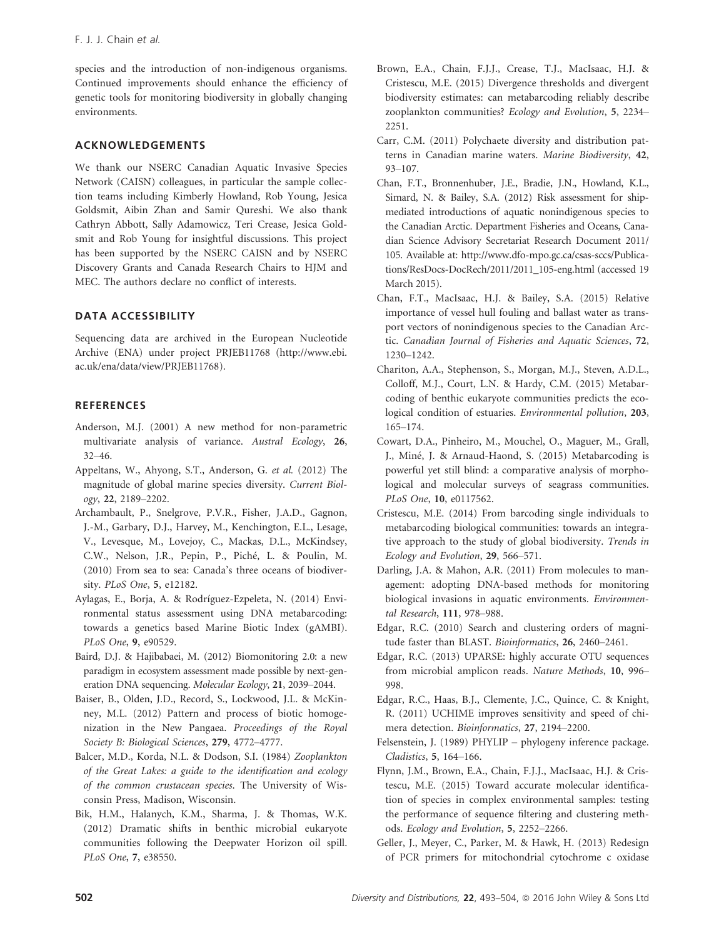species and the introduction of non-indigenous organisms. Continued improvements should enhance the efficiency of genetic tools for monitoring biodiversity in globally changing environments.

# ACKNOWLEDGEMENTS

We thank our NSERC Canadian Aquatic Invasive Species Network (CAISN) colleagues, in particular the sample collection teams including Kimberly Howland, Rob Young, Jesica Goldsmit, Aibin Zhan and Samir Qureshi. We also thank Cathryn Abbott, Sally Adamowicz, Teri Crease, Jesica Goldsmit and Rob Young for insightful discussions. This project has been supported by the NSERC CAISN and by NSERC Discovery Grants and Canada Research Chairs to HJM and MEC. The authors declare no conflict of interests.

# DATA ACCESSIBILITY

Sequencing data are archived in the European Nucleotide Archive (ENA) under project PRJEB11768 [\(http://www.ebi.](http://www.ebi.ac.uk/ena/data/view/PRJEB11768) [ac.uk/ena/data/view/PRJEB11768\)](http://www.ebi.ac.uk/ena/data/view/PRJEB11768).

# **REFERENCES**

- Anderson, M.J. (2001) A new method for non-parametric multivariate analysis of variance. Austral Ecology, 26, 32–46.
- Appeltans, W., Ahyong, S.T., Anderson, G. et al. (2012) The magnitude of global marine species diversity. Current Biology, 22, 2189–2202.
- Archambault, P., Snelgrove, P.V.R., Fisher, J.A.D., Gagnon, J.-M., Garbary, D.J., Harvey, M., Kenchington, E.L., Lesage, V., Levesque, M., Lovejoy, C., Mackas, D.L., McKindsey, C.W., Nelson, J.R., Pepin, P., Piche, L. & Poulin, M. (2010) From sea to sea: Canada's three oceans of biodiversity. PLoS One, 5, e12182.
- Aylagas, E., Borja, A. & Rodrıguez-Ezpeleta, N. (2014) Environmental status assessment using DNA metabarcoding: towards a genetics based Marine Biotic Index (gAMBI). PLoS One, 9, e90529.
- Baird, D.J. & Hajibabaei, M. (2012) Biomonitoring 2.0: a new paradigm in ecosystem assessment made possible by next-generation DNA sequencing. Molecular Ecology, 21, 2039–2044.
- Baiser, B., Olden, J.D., Record, S., Lockwood, J.L. & McKinney, M.L. (2012) Pattern and process of biotic homogenization in the New Pangaea. Proceedings of the Royal Society B: Biological Sciences, 279, 4772–4777.
- Balcer, M.D., Korda, N.L. & Dodson, S.I. (1984) Zooplankton of the Great Lakes: a guide to the identification and ecology of the common crustacean species. The University of Wisconsin Press, Madison, Wisconsin.
- Bik, H.M., Halanych, K.M., Sharma, J. & Thomas, W.K. (2012) Dramatic shifts in benthic microbial eukaryote communities following the Deepwater Horizon oil spill. PLoS One, 7, e38550.
- Brown, E.A., Chain, F.J.J., Crease, T.J., MacIsaac, H.J. & Cristescu, M.E. (2015) Divergence thresholds and divergent biodiversity estimates: can metabarcoding reliably describe zooplankton communities? Ecology and Evolution, 5, 2234– 2251.
- Carr, C.M. (2011) Polychaete diversity and distribution patterns in Canadian marine waters. Marine Biodiversity, 42, 93–107.
- Chan, F.T., Bronnenhuber, J.E., Bradie, J.N., Howland, K.L., Simard, N. & Bailey, S.A. (2012) Risk assessment for shipmediated introductions of aquatic nonindigenous species to the Canadian Arctic. Department Fisheries and Oceans, Canadian Science Advisory Secretariat Research Document 2011/ 105. Available at: [http://www.dfo-mpo.gc.ca/csas-sccs/Publica](http://www.dfo-mpo.gc.ca/csas-sccs/Publications/ResDocs-DocRech/2011/2011_105-eng.html)[tions/ResDocs-DocRech/2011/2011\\_105-eng.html](http://www.dfo-mpo.gc.ca/csas-sccs/Publications/ResDocs-DocRech/2011/2011_105-eng.html) (accessed 19 March 2015).
- Chan, F.T., MacIsaac, H.J. & Bailey, S.A. (2015) Relative importance of vessel hull fouling and ballast water as transport vectors of nonindigenous species to the Canadian Arctic. Canadian Journal of Fisheries and Aquatic Sciences, 72, 1230–1242.
- Chariton, A.A., Stephenson, S., Morgan, M.J., Steven, A.D.L., Colloff, M.J., Court, L.N. & Hardy, C.M. (2015) Metabarcoding of benthic eukaryote communities predicts the ecological condition of estuaries. Environmental pollution, 203, 165–174.
- Cowart, D.A., Pinheiro, M., Mouchel, O., Maguer, M., Grall, J., Miné, J. & Arnaud-Haond, S. (2015) Metabarcoding is powerful yet still blind: a comparative analysis of morphological and molecular surveys of seagrass communities. PLoS One, 10, e0117562.
- Cristescu, M.E. (2014) From barcoding single individuals to metabarcoding biological communities: towards an integrative approach to the study of global biodiversity. Trends in Ecology and Evolution, 29, 566–571.
- Darling, J.A. & Mahon, A.R. (2011) From molecules to management: adopting DNA-based methods for monitoring biological invasions in aquatic environments. Environmental Research, 111, 978–988.
- Edgar, R.C. (2010) Search and clustering orders of magnitude faster than BLAST. Bioinformatics, 26, 2460–2461.
- Edgar, R.C. (2013) UPARSE: highly accurate OTU sequences from microbial amplicon reads. Nature Methods, 10, 996– 998.
- Edgar, R.C., Haas, B.J., Clemente, J.C., Quince, C. & Knight, R. (2011) UCHIME improves sensitivity and speed of chimera detection. Bioinformatics, 27, 2194–2200.
- Felsenstein, J. (1989) PHYLIP phylogeny inference package. Cladistics, 5, 164–166.
- Flynn, J.M., Brown, E.A., Chain, F.J.J., MacIsaac, H.J. & Cristescu, M.E. (2015) Toward accurate molecular identification of species in complex environmental samples: testing the performance of sequence filtering and clustering methods. Ecology and Evolution, 5, 2252–2266.
- Geller, J., Meyer, C., Parker, M. & Hawk, H. (2013) Redesign of PCR primers for mitochondrial cytochrome c oxidase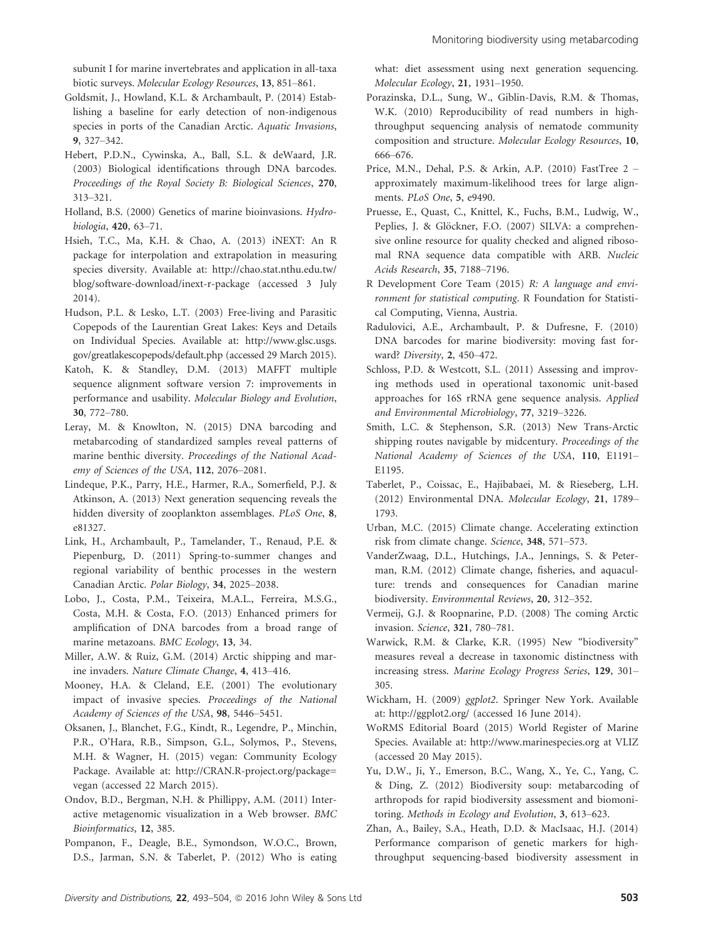subunit I for marine invertebrates and application in all-taxa biotic surveys. Molecular Ecology Resources, 13, 851–861.

- Goldsmit, J., Howland, K.L. & Archambault, P. (2014) Establishing a baseline for early detection of non-indigenous species in ports of the Canadian Arctic. Aquatic Invasions, 9, 327–342.
- Hebert, P.D.N., Cywinska, A., Ball, S.L. & deWaard, J.R. (2003) Biological identifications through DNA barcodes. Proceedings of the Royal Society B: Biological Sciences, 270, 313–321.
- Holland, B.S. (2000) Genetics of marine bioinvasions. Hydrobiologia, 420, 63–71.
- Hsieh, T.C., Ma, K.H. & Chao, A. (2013) iNEXT: An R package for interpolation and extrapolation in measuring species diversity. Available at: [http://chao.stat.nthu.edu.tw/](http://chao.stat.nthu.edu.tw/blog/software-download/inext-r-package) [blog/software-download/inext-r-package](http://chao.stat.nthu.edu.tw/blog/software-download/inext-r-package) (accessed 3 July 2014).
- Hudson, P.L. & Lesko, L.T. (2003) Free-living and Parasitic Copepods of the Laurentian Great Lakes: Keys and Details on Individual Species. Available at: [http://www.glsc.usgs.](http://www.glsc.usgs.gov/greatlakescopepods/default.php) [gov/greatlakescopepods/default.php](http://www.glsc.usgs.gov/greatlakescopepods/default.php) (accessed 29 March 2015).
- Katoh, K. & Standley, D.M. (2013) MAFFT multiple sequence alignment software version 7: improvements in performance and usability. Molecular Biology and Evolution, 30, 772–780.
- Leray, M. & Knowlton, N. (2015) DNA barcoding and metabarcoding of standardized samples reveal patterns of marine benthic diversity. Proceedings of the National Academy of Sciences of the USA, 112, 2076–2081.
- Lindeque, P.K., Parry, H.E., Harmer, R.A., Somerfield, P.J. & Atkinson, A. (2013) Next generation sequencing reveals the hidden diversity of zooplankton assemblages. PLoS One, 8, e81327.
- Link, H., Archambault, P., Tamelander, T., Renaud, P.E. & Piepenburg, D. (2011) Spring-to-summer changes and regional variability of benthic processes in the western Canadian Arctic. Polar Biology, 34, 2025–2038.
- Lobo, J., Costa, P.M., Teixeira, M.A.L., Ferreira, M.S.G., Costa, M.H. & Costa, F.O. (2013) Enhanced primers for amplification of DNA barcodes from a broad range of marine metazoans. BMC Ecology, 13, 34.
- Miller, A.W. & Ruiz, G.M. (2014) Arctic shipping and marine invaders. Nature Climate Change, 4, 413–416.
- Mooney, H.A. & Cleland, E.E. (2001) The evolutionary impact of invasive species. Proceedings of the National Academy of Sciences of the USA, 98, 5446–5451.
- Oksanen, J., Blanchet, F.G., Kindt, R., Legendre, P., Minchin, P.R., O'Hara, R.B., Simpson, G.L., Solymos, P., Stevens, M.H. & Wagner, H. (2015) vegan: Community Ecology Package. Available at: [http://CRAN.R-project.org/package=](http://CRAN.R-project.org/package=vegan) [vegan](http://CRAN.R-project.org/package=vegan) (accessed 22 March 2015).
- Ondov, B.D., Bergman, N.H. & Phillippy, A.M. (2011) Interactive metagenomic visualization in a Web browser. BMC Bioinformatics, <sup>12</sup>, 385.
- Pompanon, F., Deagle, B.E., Symondson, W.O.C., Brown, D.S., Jarman, S.N. & Taberlet, P. (2012) Who is eating

what: diet assessment using next generation sequencing. Molecular Ecology, 21, 1931–1950.

- Porazinska, D.L., Sung, W., Giblin-Davis, R.M. & Thomas, W.K. (2010) Reproducibility of read numbers in highthroughput sequencing analysis of nematode community composition and structure. Molecular Ecology Resources, 10, 666–676.
- Price, M.N., Dehal, P.S. & Arkin, A.P. (2010) FastTree 2 approximately maximum-likelihood trees for large alignments. PLoS One, 5, e9490.
- Pruesse, E., Quast, C., Knittel, K., Fuchs, B.M., Ludwig, W., Peplies, J. & Glöckner, F.O. (2007) SILVA: a comprehensive online resource for quality checked and aligned ribosomal RNA sequence data compatible with ARB. Nucleic Acids Research, 35, 7188–7196.
- R Development Core Team (2015) R: A language and environment for statistical computing. R Foundation for Statistical Computing, Vienna, Austria.
- Radulovici, A.E., Archambault, P. & Dufresne, F. (2010) DNA barcodes for marine biodiversity: moving fast forward? Diversity, 2, 450–472.
- Schloss, P.D. & Westcott, S.L. (2011) Assessing and improving methods used in operational taxonomic unit-based approaches for 16S rRNA gene sequence analysis. Applied and Environmental Microbiology, 77, 3219–3226.
- Smith, L.C. & Stephenson, S.R. (2013) New Trans-Arctic shipping routes navigable by midcentury. Proceedings of the National Academy of Sciences of the USA, 110, E1191– E1195.
- Taberlet, P., Coissac, E., Hajibabaei, M. & Rieseberg, L.H. (2012) Environmental DNA. Molecular Ecology, 21, 1789– 1793.
- Urban, M.C. (2015) Climate change. Accelerating extinction risk from climate change. Science, 348, 571–573.
- VanderZwaag, D.L., Hutchings, J.A., Jennings, S. & Peterman, R.M. (2012) Climate change, fisheries, and aquaculture: trends and consequences for Canadian marine biodiversity. Environmental Reviews, 20, 312–352.
- Vermeij, G.J. & Roopnarine, P.D. (2008) The coming Arctic invasion. Science, <sup>321</sup>, 780–781.
- Warwick, R.M. & Clarke, K.R. (1995) New "biodiversity" measures reveal a decrease in taxonomic distinctness with increasing stress. Marine Ecology Progress Series, 129, 301– 305.
- Wickham, H. (2009) ggplot2. Springer New York. Available at:<http://ggplot2.org/> (accessed 16 June 2014).
- WoRMS Editorial Board (2015) World Register of Marine Species. Available at:<http://www.marinespecies.org> at VLIZ (accessed 20 May 2015).
- Yu, D.W., Ji, Y., Emerson, B.C., Wang, X., Ye, C., Yang, C. & Ding, Z. (2012) Biodiversity soup: metabarcoding of arthropods for rapid biodiversity assessment and biomonitoring. Methods in Ecology and Evolution, 3, 613–623.
- Zhan, A., Bailey, S.A., Heath, D.D. & MacIsaac, H.J. (2014) Performance comparison of genetic markers for highthroughput sequencing-based biodiversity assessment in